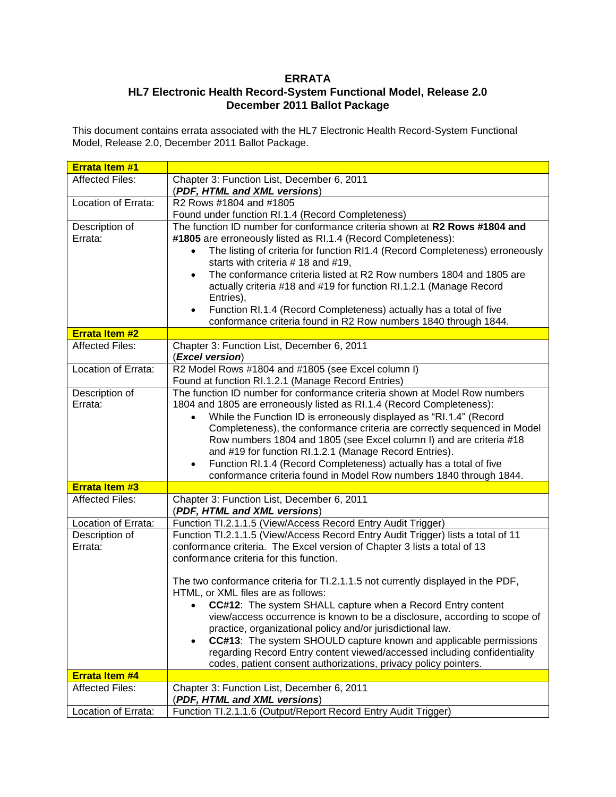## **ERRATA**

## **HL7 Electronic Health Record-System Functional Model, Release 2.0 December 2011 Ballot Package**

This document contains errata associated with the HL7 Electronic Health Record-System Functional Model, Release 2.0, December 2011 Ballot Package.

| <b>Errata Item #1</b>  |                                                                                                                                                                     |
|------------------------|---------------------------------------------------------------------------------------------------------------------------------------------------------------------|
| <b>Affected Files:</b> | Chapter 3: Function List, December 6, 2011                                                                                                                          |
|                        | (PDF, HTML and XML versions)                                                                                                                                        |
| Location of Errata:    | R2 Rows #1804 and #1805                                                                                                                                             |
|                        | Found under function RI.1.4 (Record Completeness)                                                                                                                   |
| Description of         | The function ID number for conformance criteria shown at R2 Rows #1804 and                                                                                          |
| Errata:                | #1805 are erroneously listed as RI.1.4 (Record Completeness):                                                                                                       |
|                        | The listing of criteria for function RI1.4 (Record Completeness) erroneously<br>starts with criteria #18 and #19,                                                   |
|                        | The conformance criteria listed at R2 Row numbers 1804 and 1805 are<br>$\bullet$<br>actually criteria #18 and #19 for function RI.1.2.1 (Manage Record<br>Entries), |
|                        | Function RI.1.4 (Record Completeness) actually has a total of five<br>$\bullet$<br>conformance criteria found in R2 Row numbers 1840 through 1844.                  |
| <b>Errata Item #2</b>  |                                                                                                                                                                     |
| <b>Affected Files:</b> | Chapter 3: Function List, December 6, 2011<br>(Excel version)                                                                                                       |
| Location of Errata:    | R2 Model Rows #1804 and #1805 (see Excel column I)                                                                                                                  |
|                        | Found at function RI.1.2.1 (Manage Record Entries)                                                                                                                  |
| Description of         | The function ID number for conformance criteria shown at Model Row numbers                                                                                          |
| Errata:                | 1804 and 1805 are erroneously listed as RI.1.4 (Record Completeness):                                                                                               |
|                        | While the Function ID is erroneously displayed as "RI.1.4" (Record<br>$\bullet$                                                                                     |
|                        | Completeness), the conformance criteria are correctly sequenced in Model                                                                                            |
|                        | Row numbers 1804 and 1805 (see Excel column I) and are criteria #18                                                                                                 |
|                        | and #19 for function RI.1.2.1 (Manage Record Entries).                                                                                                              |
|                        | Function RI.1.4 (Record Completeness) actually has a total of five<br>$\bullet$                                                                                     |
|                        | conformance criteria found in Model Row numbers 1840 through 1844.                                                                                                  |
| <b>Errata Item #3</b>  |                                                                                                                                                                     |
| <b>Affected Files:</b> | Chapter 3: Function List, December 6, 2011<br>(PDF, HTML and XML versions)                                                                                          |
| Location of Errata:    | Function TI.2.1.1.5 (View/Access Record Entry Audit Trigger)                                                                                                        |
| Description of         | Function TI.2.1.1.5 (View/Access Record Entry Audit Trigger) lists a total of 11                                                                                    |
| Errata:                | conformance criteria. The Excel version of Chapter 3 lists a total of 13                                                                                            |
|                        | conformance criteria for this function.                                                                                                                             |
|                        | The two conformance criteria for TI.2.1.1.5 not currently displayed in the PDF,<br>HTML, or XML files are as follows:                                               |
|                        | CC#12: The system SHALL capture when a Record Entry content                                                                                                         |
|                        | view/access occurrence is known to be a disclosure, according to scope of                                                                                           |
|                        | practice, organizational policy and/or jurisdictional law.                                                                                                          |
|                        | CC#13: The system SHOULD capture known and applicable permissions<br>$\bullet$                                                                                      |
|                        | regarding Record Entry content viewed/accessed including confidentiality                                                                                            |
|                        | codes, patient consent authorizations, privacy policy pointers.                                                                                                     |
| <b>Errata Item #4</b>  |                                                                                                                                                                     |
| <b>Affected Files:</b> | Chapter 3: Function List, December 6, 2011<br>(PDF, HTML and XML versions)                                                                                          |
| Location of Errata:    | Function TI.2.1.1.6 (Output/Report Record Entry Audit Trigger)                                                                                                      |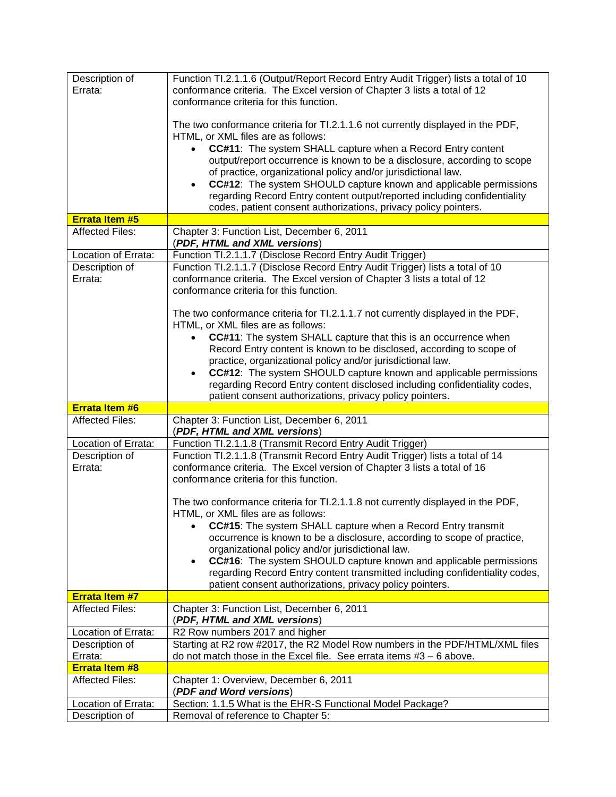| Description of<br>Errata:             | Function TI.2.1.1.6 (Output/Report Record Entry Audit Trigger) lists a total of 10<br>conformance criteria. The Excel version of Chapter 3 lists a total of 12<br>conformance criteria for this function.                     |
|---------------------------------------|-------------------------------------------------------------------------------------------------------------------------------------------------------------------------------------------------------------------------------|
|                                       | The two conformance criteria for TI.2.1.1.6 not currently displayed in the PDF,<br>HTML, or XML files are as follows:                                                                                                         |
|                                       | <b>CC#11:</b> The system SHALL capture when a Record Entry content                                                                                                                                                            |
|                                       | output/report occurrence is known to be a disclosure, according to scope                                                                                                                                                      |
|                                       | of practice, organizational policy and/or jurisdictional law.                                                                                                                                                                 |
|                                       | CC#12: The system SHOULD capture known and applicable permissions<br>$\bullet$<br>regarding Record Entry content output/reported including confidentiality<br>codes, patient consent authorizations, privacy policy pointers. |
| Errata Item #5                        |                                                                                                                                                                                                                               |
| <b>Affected Files:</b>                | Chapter 3: Function List, December 6, 2011                                                                                                                                                                                    |
|                                       | (PDF, HTML and XML versions)                                                                                                                                                                                                  |
| Location of Errata:                   | Function TI.2.1.1.7 (Disclose Record Entry Audit Trigger)                                                                                                                                                                     |
| Description of                        | Function TI.2.1.1.7 (Disclose Record Entry Audit Trigger) lists a total of 10                                                                                                                                                 |
| Errata:                               | conformance criteria. The Excel version of Chapter 3 lists a total of 12                                                                                                                                                      |
|                                       | conformance criteria for this function.                                                                                                                                                                                       |
|                                       | The two conformance criteria for TI.2.1.1.7 not currently displayed in the PDF,                                                                                                                                               |
|                                       | HTML, or XML files are as follows:                                                                                                                                                                                            |
|                                       | CC#11: The system SHALL capture that this is an occurrence when<br>$\bullet$                                                                                                                                                  |
|                                       | Record Entry content is known to be disclosed, according to scope of<br>practice, organizational policy and/or jurisdictional law.                                                                                            |
|                                       | CC#12: The system SHOULD capture known and applicable permissions<br>$\bullet$                                                                                                                                                |
|                                       | regarding Record Entry content disclosed including confidentiality codes,                                                                                                                                                     |
|                                       |                                                                                                                                                                                                                               |
|                                       |                                                                                                                                                                                                                               |
| <b>Errata Item #6</b>                 | patient consent authorizations, privacy policy pointers.                                                                                                                                                                      |
| <b>Affected Files:</b>                | Chapter 3: Function List, December 6, 2011<br>(PDF, HTML and XML versions)                                                                                                                                                    |
| Location of Errata:                   | Function TI.2.1.1.8 (Transmit Record Entry Audit Trigger)                                                                                                                                                                     |
| Description of                        | Function TI.2.1.1.8 (Transmit Record Entry Audit Trigger) lists a total of 14                                                                                                                                                 |
| Errata:                               | conformance criteria. The Excel version of Chapter 3 lists a total of 16                                                                                                                                                      |
|                                       | conformance criteria for this function.                                                                                                                                                                                       |
|                                       | The two conformance criteria for TI.2.1.1.8 not currently displayed in the PDF,                                                                                                                                               |
|                                       | HTML, or XML files are as follows:                                                                                                                                                                                            |
|                                       | <b>CC#15:</b> The system SHALL capture when a Record Entry transmit<br>٠                                                                                                                                                      |
|                                       | occurrence is known to be a disclosure, according to scope of practice,                                                                                                                                                       |
|                                       | organizational policy and/or jurisdictional law.                                                                                                                                                                              |
|                                       | <b>CC#16:</b> The system SHOULD capture known and applicable permissions<br>٠                                                                                                                                                 |
|                                       | regarding Record Entry content transmitted including confidentiality codes,<br>patient consent authorizations, privacy policy pointers.                                                                                       |
| <b>Errata Item #7</b>                 |                                                                                                                                                                                                                               |
| <b>Affected Files:</b>                | Chapter 3: Function List, December 6, 2011<br>(PDF, HTML and XML versions)                                                                                                                                                    |
| Location of Errata:                   | R2 Row numbers 2017 and higher                                                                                                                                                                                                |
| Description of                        | Starting at R2 row #2017, the R2 Model Row numbers in the PDF/HTML/XML files                                                                                                                                                  |
| Errata:                               | do not match those in the Excel file. See errata items $#3 - 6$ above.                                                                                                                                                        |
| <b>Errata Item #8</b>                 |                                                                                                                                                                                                                               |
| <b>Affected Files:</b>                | Chapter 1: Overview, December 6, 2011<br>(PDF and Word versions)                                                                                                                                                              |
| Location of Errata:<br>Description of | Section: 1.1.5 What is the EHR-S Functional Model Package?                                                                                                                                                                    |